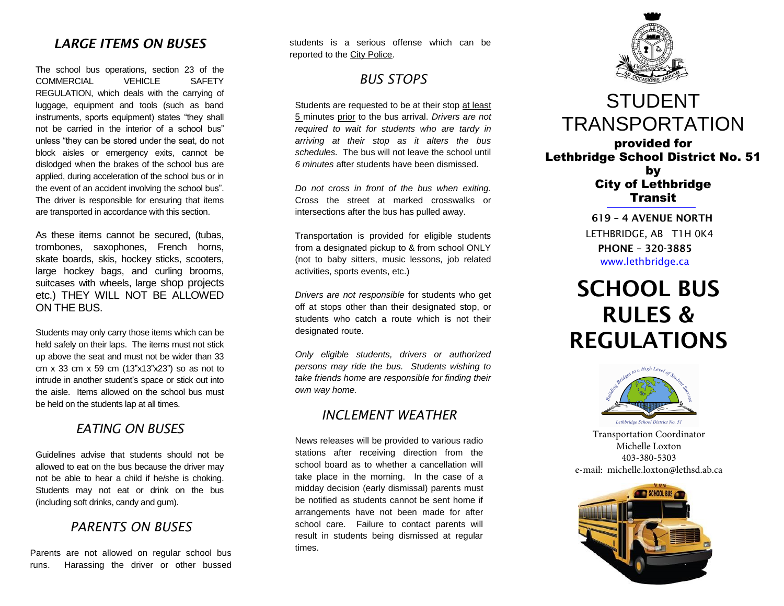### *LARGE ITEMS ON BUSES*

The school bus operations, section 23 of the COMMERCIAL VEHICLE SAFETY REGULATION, which deals with the carrying of luggage, equipment and tools (such as band instruments, sports equipment) states "they shall not be carried in the interior of a school bus" unless "they can be stored under the seat, do not block aisles or emergency exits, cannot be dislodged when the brakes of the school bus are applied, during acceleration of the school bus or in the event of an accident involving the school bus". The driver is responsible for ensuring that items are transported in accordance with this section.

As these items cannot be secured, (tubas, trombones, saxophones, French horns, skate boards, skis, hockey sticks, scooters, large hockey bags, and curling brooms, suitcases with wheels, large shop projects etc.) THEY WILL NOT BE ALLOWED ON THE BUS.

Students may only carry those items which can be held safely on their laps. The items must not stick up above the seat and must not be wider than 33 cm x 33 cm x 59 cm (13"x13"x23") so as not to intrude in another student's space or stick out into the aisle. Items allowed on the school bus must be held on the students lap at all times.

### *EATING ON BUSES*

Guidelines advise that students should not be allowed to eat on the bus because the driver may not be able to hear a child if he/she is choking. Students may not eat or drink on the bus (including soft drinks, candy and gum).

### *PARENTS ON BUSES*

Parents are not allowed on regular school bus runs. Harassing the driver or other bussed

students is a serious offense which can be reported to the City Police.

### *BUS STOPS*

Students are requested to be at their stop at least 5 minutes prior to the bus arrival. *Drivers are not required to wait for students who are tardy in arriving at their stop as it alters the bus schedules.* The bus will not leave the school until *6 minutes* after students have been dismissed.

*Do not cross in front of the bus when exiting.* Cross the street at marked crosswalks or intersections after the bus has pulled away.

Transportation is provided for eligible students from a designated pickup to & from school ONLY (not to baby sitters, music lessons, job related activities, sports events, etc.)

*Drivers are not responsible* for students who get off at stops other than their designated stop, or students who catch a route which is not their designated route.

*Only eligible students, drivers or authorized persons may ride the bus. Students wishing to take friends home are responsible for finding their own way home.* 

### *INCLEMENT WEATHER*

News releases will be provided to various radio stations after receiving direction from the school board as to whether a cancellation will take place in the morning. In the case of a midday decision (early dismissal) parents must be notified as students cannot be sent home if arrangements have not been made for after school care. Failure to contact parents will result in students being dismissed at regular times.



## STUDENT TRANSPORTATION

provided for Lethbridge School District No. 51 by City of Lethbridge Transit

> LETHBRIDGE, AB T1H 0K4 **619 – 4 AVENUE NORTH PHONE – 320-3885** www.lethbridge.ca

# **SCHOOL BUS RULES & REGULATIONS**



Transportation Coordinator [Michelle Loxton](http://www.lethbridge.ca/) 403-380-5303 e-mail: michelle.loxton@lethsd.ab.ca